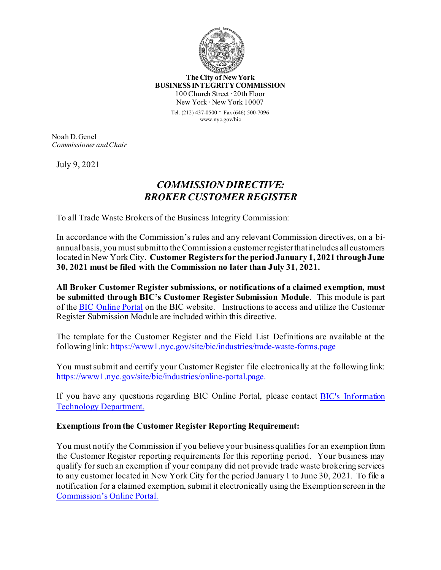

**The City of New York BUSINESS INTEGRITY COMMISSION** 100 Church Street ∙ 20th Floor New York ∙ New York 10007

> Tel. (212) 437-0500 ∙ Fax (646) 500-<sup>7096</sup> www.nyc.gov/bic

Noah D. Genel *Commissioner and Chair*

July 9, 2021

## *COMMISSION DIRECTIVE: BROKER CUSTOMER REGISTER*

To all Trade Waste Brokers of the Business Integrity Commission:

In accordance with the Commission's rules and any relevant Commission directives, on a biannual basis, you must submit to the Commission a customer register that includes all customers located in New York City. **Customer Registers for the period January 1, 2021 through June 30, 2021 must be filed with the Commission no later than July 31, 2021.** 

**All Broker Customer Register submissions, or notifications of a claimed exemption, must be submitted through BIC's Customer Register Submission Module**. This module is part of the [BIC Online Portal](https://www1.nyc.gov/site/bic/industries/online-portal.page) on the BIC website. Instructions to access and utilize the Customer Register Submission Module are included within this directive.

The template for the Customer Register and the Field List Definitions are available at the following link[: https://www1.nyc.gov/site/bic/industries/trade](https://www1.nyc.gov/site/bic/industries/trade-waste-forms.page)-waste-forms.page

You must submit and certify your Customer Register file electronically at the following link: [https://www1.nyc.gov/site/bic/industries/online](https://www1.nyc.gov/site/bic/industries/online-portal.page.)-portal.page.

If you have any questions regarding BIC Online Portal, please contact [BIC's Information](https://www1.nyc.gov/site/bic/industries/portal-support-form.page)  [Technology Department.](https://www1.nyc.gov/site/bic/industries/portal-support-form.page)

## **Exemptions from the Customer Register Reporting Requirement:**

You must notify the Commission if you believe your business qualifies for an exemption from the Customer Register reporting requirements for this reporting period. Your business may qualify for such an exemption if your company did not provide trade waste brokering services to any customer located in New York City for the period January 1 to June 30, 2021. To file a notification for a claimed exemption, submit it electronically using the Exemption screen in the C[ommission's Online Portal.](https://www1.nyc.gov/site/bic/industries/online-portal.page.)